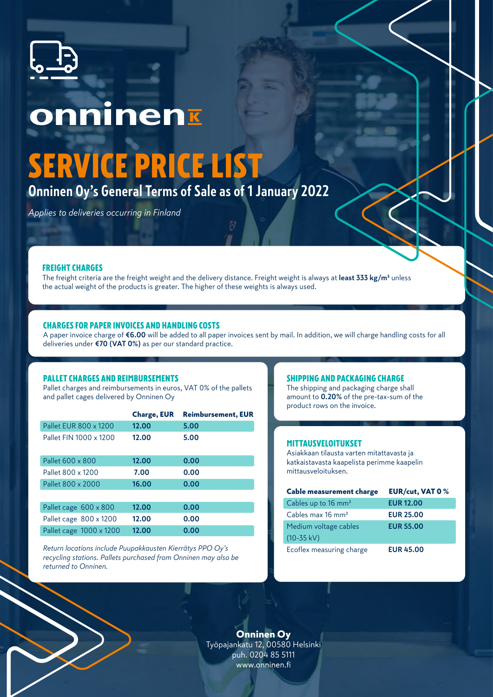

# onninenk

## SERVICE PRICE LIST

**Onninen Oy's General Terms of Sale as of 1 January 2022**

*Applies to deliveries occurring in Finland*

## FREIGHT CHARGES

The freight criteria are the freight weight and the delivery distance. Freight weight is always at **least 333 kg/m³** unless the actual weight of the products is greater. The higher of these weights is always used.

## CHARGES FOR PAPER INVOICES AND HANDLING COSTS

A paper invoice charge of **€6.00** will be added to all paper invoices sent by mail. In addition, we will charge handling costs for all deliveries under **€70 (VAT 0%)** as per our standard practice.

## PALLET CHARGES AND REIMBURSEMENTS

Pallet charges and reimbursements in euros, VAT 0% of the pallets and pallet cages delivered by Onninen Oy

|                        | <b>Charge, EUR</b> | <b>Reimbursement, EUR</b> |
|------------------------|--------------------|---------------------------|
| Pallet EUR 800 x 1200  | 12.00              | 5.00                      |
| Pallet FIN 1000 x 1200 | 12.00              | 5.00                      |
| Pallet 600 x 800       | 12.00              | 0.00                      |
| Pallet 800 x 1200      | 7.00               | 0.00                      |
| Pallet 800 x 2000      | 16.00              | 0.00                      |
|                        |                    |                           |
| Pallet cage 600 x 800  | 12.00              | 0.00                      |
| Pallet cage 800 x 1200 | 12.00              | 0.00                      |

*Return locations include Puupakkausten Kierrätys PPO Oy's recycling stations. Pallets purchased from Onninen may also be returned to Onninen.* 

Pallet cage 1000 x 1200 **12.00 0.00**

## SHIPPING AND PACKAGING CHARGE

The shipping and packaging charge shall amount to **0.20%** of the pre-tax-sum of the product rows on the invoice.

### MITTAUSVELOITUKSET

Asiakkaan tilausta varten mitattavasta ja katkaistavasta kaapelista perimme kaapelin mittausveloituksen.

| Cable measurement charge       | <b>EUR/cut, VAT 0 %</b> |
|--------------------------------|-------------------------|
| Cables up to $16 \text{ mm}^2$ | <b>EUR 12.00</b>        |
| Cables max 16 mm <sup>2</sup>  | <b>EUR 25.00</b>        |
| Medium voltage cables          | <b>EUR 55.00</b>        |
| $(10-35 kV)$                   |                         |
| Ecoflex measuring charge       | <b>EUR 45.00</b>        |

Onninen Oy Työpajankatu 12, 00580 Helsinki puh. 0204 85 5111 www.onninen.fi